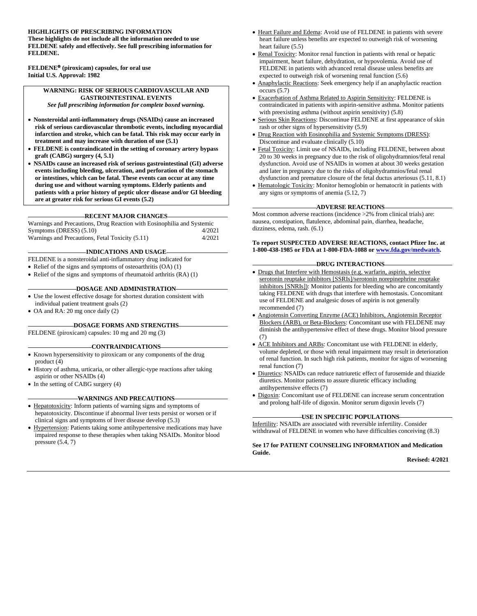#### **HIGHLIGHTS OF PRESCRIBING INFORMATION**

**These highlights do not include all the information needed to use FELDENE safely and effectively. See full prescribing information for FELDENE.**

**FELDENE (piroxicam) capsules, for oral use Initial U.S. Approval: 1982**

#### **WARNING: RISK OF SERIOUS CARDIOVASCULAR AND GASTROINTESTINAL EVENTS**

*See full prescribing information for complete boxed warning.*

- **Nonsteroidal anti-inflammatory drugs (NSAIDs) cause an increased risk of serious cardiovascular thrombotic events, including myocardial infarction and stroke, which can be fatal. This risk may occur early in treatment and may increase with duration of use (5.1)**
- **FELDENE is contraindicated in the setting of coronary artery bypass graft (CABG) surgery (4, 5.1)**
- **NSAIDs cause an increased risk of serious gastrointestinal (GI) adverse events including bleeding, ulceration, and perforation of the stomach or intestines, which can be fatal. These events can occur at any time during use and without warning symptoms. Elderly patients and patients with a prior history of peptic ulcer disease and/or GI bleeding are at greater risk for serious GI events (5.2)**

#### **RECENT MAJOR CHANGES**

Warnings and Precautions, Drug Reaction with Eosinophilia and Systemic Symptoms (DRESS) (5.10) 4/2021 Warnings and Precautions, Fetal Toxicity (5.11) 4/2021

#### **INDICATIONS AND USAGE**

FELDENE is a nonsteroidal anti-inflammatory drug indicated for

• Relief of the signs and symptoms of osteoarthritis (OA) (1)

• Relief of the signs and symptoms of rheumatoid arthritis (RA) (1)

#### **DOSAGE AND ADMINISTRATION-**

- Use the lowest effective dosage for shortest duration consistent with individual patient treatment goals (2)
- OA and RA: 20 mg once daily (2)

#### **DOSAGE FORMS AND STRENGTHS**

FELDENE (piroxicam) capsules: 10 mg and 20 mg (3)

#### **CONTRAINDICATIONS**

- Known hypersensitivity to piroxicam or any components of the drug product (4)
- History of asthma, urticaria, or other allergic-type reactions after taking aspirin or other NSAIDs (4)
- In the setting of CABG surgery (4)

#### **WARNINGS AND PRECAUTIONS**

- Hepatotoxicity: Inform patients of warning signs and symptoms of hepatotoxicity. Discontinue if abnormal liver tests persist or worsen or if clinical signs and symptoms of liver disease develop (5.3)
- Hypertension: Patients taking some antihypertensive medications may have impaired response to these therapies when taking NSAIDs. Monitor blood pressure (5.4, 7)
- Heart Failure and Edema: Avoid use of FELDENE in patients with severe heart failure unless benefits are expected to outweigh risk of worsening heart failure (5.5)
- Renal Toxicity: Monitor renal function in patients with renal or hepatic impairment, heart failure, dehydration, or hypovolemia. Avoid use of FELDENE in patients with advanced renal disease unless benefits are expected to outweigh risk of worsening renal function (5.6)
- Anaphylactic Reactions: Seek emergency help if an anaphylactic reaction occurs (5.7)
- Exacerbation of Asthma Related to Aspirin Sensitivity: FELDENE is contraindicated in patients with aspirin-sensitive asthma. Monitor patients with preexisting asthma (without aspirin sensitivity) (5.8)
- Serious Skin Reactions: Discontinue FELDENE at first appearance of skin rash or other signs of hypersensitivity (5.9)
- Drug Reaction with Eosinophilia and Systemic Symptoms (DRESS): Discontinue and evaluate clinically (5.10)
- Fetal Toxicity: Limit use of NSAIDs, including FELDENE, between about 20 to 30 weeks in pregnancy due to the risk of oligohydramnios/fetal renal dysfunction. Avoid use of NSAIDs in women at about 30 weeks gestation and later in pregnancy due to the risks of oligohydramnios/fetal renal dysfunction and premature closure of the fetal ductus arteriosus (5.11, 8.1)
- Hematologic Toxicity: Monitor hemoglobin or hematocrit in patients with any signs or symptoms of anemia (5.12, 7)

#### **ADVERSE REACTIONS**

Most common adverse reactions (incidence >2% from clinical trials) are: nausea, constipation, flatulence, abdominal pain, diarrhea, headache, dizziness, edema, rash. (6.1)

**To report SUSPECTED ADVERSE REACTIONS, contact Pfizer Inc. at 1-800-438-1985 or FDA at 1-800-FDA-1088 o[r www.fda.gov/medwatch.](http://www.fda.gov/medwatch)**

#### **DRUG INTERACTIONS**

- Drugs that Interfere with Hemostasis (e.g. warfarin, aspirin, selective serotonin reuptake inhibitors [SSRIs]/serotonin norepinephrine reuptake inhibitors [SNRIs]): Monitor patients for bleeding who are concomitantly taking FELDENE with drugs that interfere with hemostasis. Concomitant use of FELDENE and analgesic doses of aspirin is not generally recommended (7)
- Angiotensin Converting Enzyme (ACE) Inhibitors, Angiotensin Receptor Blockers (ARB), or Beta-Blockers: Concomitant use with FELDENE may diminish the antihypertensive effect of these drugs. Monitor blood pressure (7)
- ACE Inhibitors and ARBs: Concomitant use with FELDENE in elderly, volume depleted, or those with renal impairment may result in deterioration of renal function. In such high risk patients, monitor for signs of worsening renal function (7)
- Diuretics: NSAIDs can reduce natriuretic effect of furosemide and thiazide diuretics. Monitor patients to assure diuretic efficacy including antihypertensive effects (7)
- Digoxin: Concomitant use of FELDENE can increase serum concentration and prolong half-life of digoxin. Monitor serum digoxin levels (7)

#### **USE IN SPECIFIC POPULATIONS**

Infertility: NSAIDs are associated with reversible infertility. Consider withdrawal of FELDENE in women who have difficulties conceiving (8.3)

#### **See 17 for PATIENT COUNSELING INFORMATION and Medication Guide.**

**Revised: 4/2021**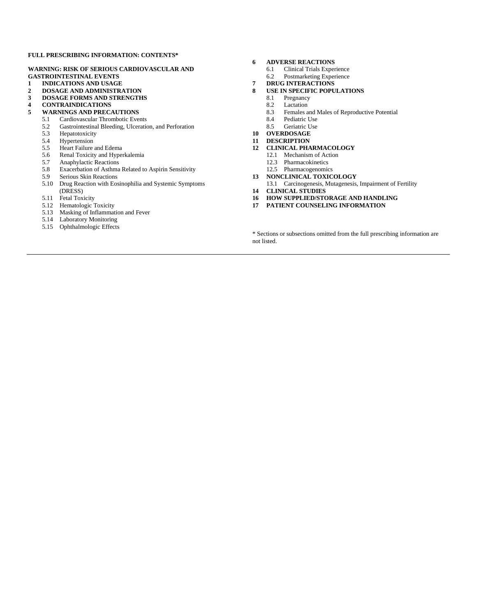#### **FULL PRESCRIBING INFORMATION: CONTENTS\***

#### **WARNING: RISK OF SERIOUS CARDIOVASCULAR AND GASTROINTESTINAL EVENTS**

- **1 INDICATIONS AND USAGE**
- **2 DOSAGE AND ADMINISTRATION**
- **3 DOSAGE FORMS AND STRENGTHS**
- **4 CONTRAINDICATIONS**

- **5 WARNINGS AND PRECAUTIONS** 5.1 Cardiovascular Thrombotic Events
	- 5.2 Gastrointestinal Bleeding, Ulceration, and Perforation<br>5.3 Hepatotoxicity
	- Hepatotoxicity
	-
	- 5.4 Hypertension<br>5.5 Heart Failure 5.5 Heart Failure and Edema
	-
	- 5.6 Renal Toxicity and Hyperkalemia<br>5.7 Anaphylactic Reactions Anaphylactic Reactions
	-
	- 5.8 Exacerbation of Asthma Related to Aspirin Sensitivity<br>5.9 Serious Skin Reactions Serious Skin Reactions
	- 5.10 Drug Reaction with Eosinophilia and Systemic Symptoms (DRESS)
	- 5.11 Fetal Toxicity
	- 5.12 Hematologic Toxicity
	- 5.13 Masking of Inflammation and Fever
	- 5.14 Laboratory Monitoring
	- 5.15 Ophthalmologic Effects

#### **6 ADVERSE REACTIONS**

- 6.1 Clinical Trials Experience
- 6.2 Postmarketing Experience
- **7 DRUG INTERACTIONS**
- **8 USE IN SPECIFIC POPULATIONS**
	- 8.1 Pregnancy
	- 8.2 Lactation
	- 8.3 Females and Males of Reproductive Potential<br>8.4 Pediatric Use
	- Pediatric Use
	- 8.5 Geriatric Use
- **10 OVERDOSAGE**
- **11 DESCRIPTION**
- **12 CLINICAL PHARMACOLOGY**
	- 12.1 Mechanism of Action
	- 12.3 Pharmacokinetics
	- 12.5 Pharmacogenomics
- **13 NONCLINICAL TOXICOLOGY**
- 13.1 Carcinogenesis, Mutagenesis, Impairment of Fertility **14 CLINICAL STUDIES**
- 
- **16 HOW SUPPLIED/STORAGE AND HANDLING 17 PATIENT COUNSELING INFORMATION**

\* Sections or subsections omitted from the full prescribing information are not listed.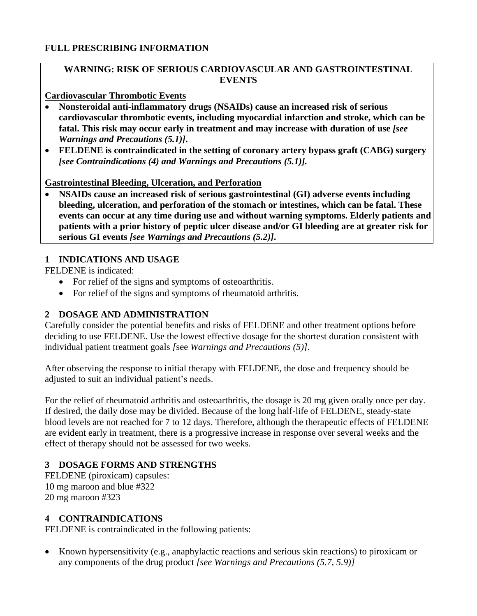### **FULL PRESCRIBING INFORMATION**

# **WARNING: RISK OF SERIOUS CARDIOVASCULAR AND GASTROINTESTINAL EVENTS**

#### **Cardiovascular Thrombotic Events**

- **Nonsteroidal anti-inflammatory drugs (NSAIDs) cause an increased risk of serious cardiovascular thrombotic events, including myocardial infarction and stroke, which can be**  fatal. This risk may occur early in treatment and may increase with duration of use *[see Warnings and Precautions (5.1)]***.**
- **FELDENE is contraindicated in the setting of coronary artery bypass graft (CABG) surgery**  *[see Contraindications (4) and Warnings and Precautions (5.1)].*

#### **Gastrointestinal Bleeding, Ulceration, and Perforation**

• **NSAIDs cause an increased risk of serious gastrointestinal (GI) adverse events including bleeding, ulceration, and perforation of the stomach or intestines, which can be fatal. These events can occur at any time during use and without warning symptoms. Elderly patients and patients with a prior history of peptic ulcer disease and/or GI bleeding are at greater risk for serious GI events** *[see Warnings and Precautions (5.2)]***.**

#### **1 INDICATIONS AND USAGE**

FELDENE is indicated:

- For relief of the signs and symptoms of osteoarthritis.
- For relief of the signs and symptoms of rheumatoid arthritis.

### **2 DOSAGE AND ADMINISTRATION**

Carefully consider the potential benefits and risks of FELDENE and other treatment options before deciding to use FELDENE. Use the lowest effective dosage for the shortest duration consistent with individual patient treatment goals *[*see *Warnings and Precautions (5)]*.

After observing the response to initial therapy with FELDENE, the dose and frequency should be adjusted to suit an individual patient's needs.

For the relief of rheumatoid arthritis and osteoarthritis, the dosage is 20 mg given orally once per day. If desired, the daily dose may be divided. Because of the long half-life of FELDENE, steady-state blood levels are not reached for 7 to 12 days. Therefore, although the therapeutic effects of FELDENE are evident early in treatment, there is a progressive increase in response over several weeks and the effect of therapy should not be assessed for two weeks.

### **3 DOSAGE FORMS AND STRENGTHS**

FELDENE (piroxicam) capsules: 10 mg maroon and blue #322 20 mg maroon #323

### **4 CONTRAINDICATIONS**

FELDENE is contraindicated in the following patients:

• Known hypersensitivity (e.g., anaphylactic reactions and serious skin reactions) to piroxicam or any components of the drug product *[see Warnings and Precautions (5.7, 5.9)]*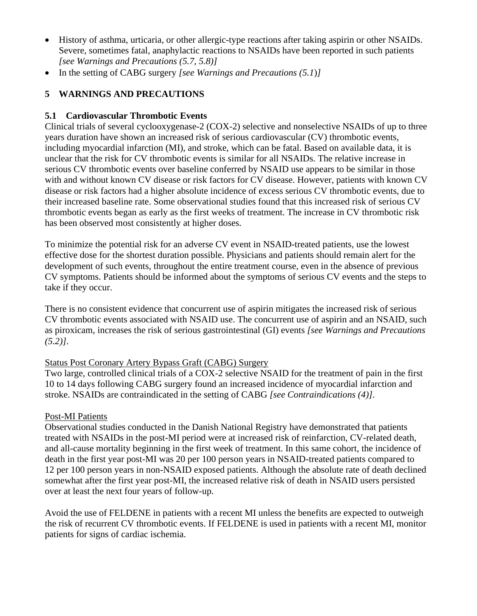- History of asthma, urticaria, or other allergic-type reactions after taking aspirin or other NSAIDs. Severe, sometimes fatal, anaphylactic reactions to NSAIDs have been reported in such patients *[see Warnings and Precautions (5.7, 5.8)]*
- In the setting of CABG surgery *[see Warnings and Precautions (5.1*)*]*

# **5 WARNINGS AND PRECAUTIONS**

# **5.1 Cardiovascular Thrombotic Events**

Clinical trials of several cyclooxygenase-2 (COX-2) selective and nonselective NSAIDs of up to three years duration have shown an increased risk of serious cardiovascular (CV) thrombotic events, including myocardial infarction (MI), and stroke, which can be fatal. Based on available data, it is unclear that the risk for CV thrombotic events is similar for all NSAIDs. The relative increase in serious CV thrombotic events over baseline conferred by NSAID use appears to be similar in those with and without known CV disease or risk factors for CV disease. However, patients with known CV disease or risk factors had a higher absolute incidence of excess serious CV thrombotic events, due to their increased baseline rate. Some observational studies found that this increased risk of serious CV thrombotic events began as early as the first weeks of treatment. The increase in CV thrombotic risk has been observed most consistently at higher doses.

To minimize the potential risk for an adverse CV event in NSAID-treated patients, use the lowest effective dose for the shortest duration possible. Physicians and patients should remain alert for the development of such events, throughout the entire treatment course, even in the absence of previous CV symptoms. Patients should be informed about the symptoms of serious CV events and the steps to take if they occur.

There is no consistent evidence that concurrent use of aspirin mitigates the increased risk of serious CV thrombotic events associated with NSAID use. The concurrent use of aspirin and an NSAID, such as piroxicam, increases the risk of serious gastrointestinal (GI) events *[see Warnings and Precautions (5.2)]*.

# Status Post Coronary Artery Bypass Graft (CABG) Surgery

Two large, controlled clinical trials of a COX-2 selective NSAID for the treatment of pain in the first 10 to 14 days following CABG surgery found an increased incidence of myocardial infarction and stroke. NSAIDs are contraindicated in the setting of CABG *[see Contraindications (4)]*.

### Post-MI Patients

Observational studies conducted in the Danish National Registry have demonstrated that patients treated with NSAIDs in the post-MI period were at increased risk of reinfarction, CV-related death, and all-cause mortality beginning in the first week of treatment. In this same cohort, the incidence of death in the first year post-MI was 20 per 100 person years in NSAID-treated patients compared to 12 per 100 person years in non-NSAID exposed patients. Although the absolute rate of death declined somewhat after the first year post-MI, the increased relative risk of death in NSAID users persisted over at least the next four years of follow-up.

Avoid the use of FELDENE in patients with a recent MI unless the benefits are expected to outweigh the risk of recurrent CV thrombotic events. If FELDENE is used in patients with a recent MI, monitor patients for signs of cardiac ischemia.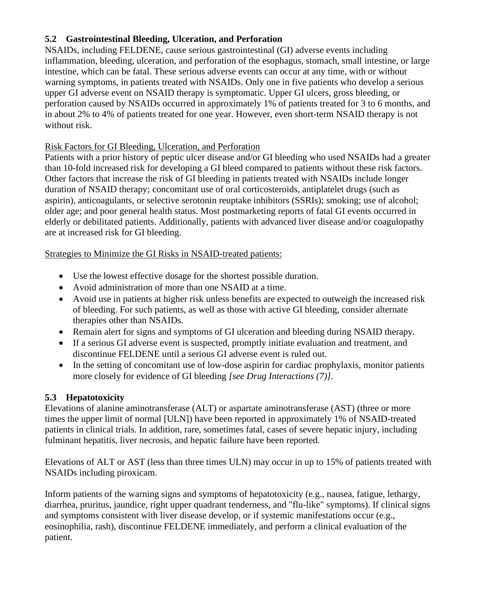# **5.2 Gastrointestinal Bleeding, Ulceration, and Perforation**

NSAIDs, including FELDENE, cause serious gastrointestinal (GI) adverse events including inflammation, bleeding, ulceration, and perforation of the esophagus, stomach, small intestine, or large intestine, which can be fatal. These serious adverse events can occur at any time, with or without warning symptoms, in patients treated with NSAIDs. Only one in five patients who develop a serious upper GI adverse event on NSAID therapy is symptomatic. Upper GI ulcers, gross bleeding, or perforation caused by NSAIDs occurred in approximately 1% of patients treated for 3 to 6 months, and in about 2% to 4% of patients treated for one year. However, even short-term NSAID therapy is not without risk.

# Risk Factors for GI Bleeding, Ulceration, and Perforation

Patients with a prior history of peptic ulcer disease and/or GI bleeding who used NSAIDs had a greater than 10-fold increased risk for developing a GI bleed compared to patients without these risk factors. Other factors that increase the risk of GI bleeding in patients treated with NSAIDs include longer duration of NSAID therapy; concomitant use of oral corticosteroids, antiplatelet drugs (such as aspirin), anticoagulants, or selective serotonin reuptake inhibitors (SSRIs); smoking; use of alcohol; older age; and poor general health status. Most postmarketing reports of fatal GI events occurred in elderly or debilitated patients. Additionally, patients with advanced liver disease and/or coagulopathy are at increased risk for GI bleeding.

# Strategies to Minimize the GI Risks in NSAID-treated patients:

- Use the lowest effective dosage for the shortest possible duration.
- Avoid administration of more than one NSAID at a time.
- Avoid use in patients at higher risk unless benefits are expected to outweigh the increased risk of bleeding. For such patients, as well as those with active GI bleeding, consider alternate therapies other than NSAIDs.
- Remain alert for signs and symptoms of GI ulceration and bleeding during NSAID therapy.
- If a serious GI adverse event is suspected, promptly initiate evaluation and treatment, and discontinue FELDENE until a serious GI adverse event is ruled out.
- In the setting of concomitant use of low-dose aspirin for cardiac prophylaxis, monitor patients more closely for evidence of GI bleeding *[see Drug Interactions (7)]*.

# **5.3 Hepatotoxicity**

Elevations of alanine aminotransferase (ALT) or aspartate aminotransferase (AST) (three or more times the upper limit of normal [ULN]) have been reported in approximately 1% of NSAID-treated patients in clinical trials. In addition, rare, sometimes fatal, cases of severe hepatic injury, including fulminant hepatitis, liver necrosis, and hepatic failure have been reported.

Elevations of ALT or AST (less than three times ULN) may occur in up to 15% of patients treated with NSAIDs including piroxicam.

Inform patients of the warning signs and symptoms of hepatotoxicity (e.g., nausea, fatigue, lethargy, diarrhea, pruritus, jaundice, right upper quadrant tenderness, and "flu-like" symptoms). If clinical signs and symptoms consistent with liver disease develop, or if systemic manifestations occur (e.g., eosinophilia, rash), discontinue FELDENE immediately, and perform a clinical evaluation of the patient.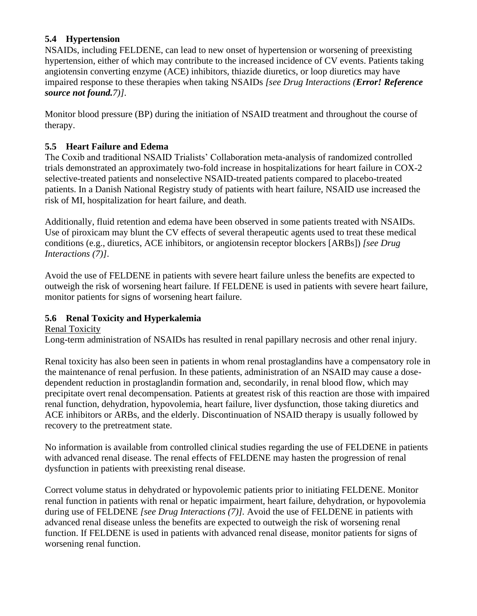# **5.4 Hypertension**

NSAIDs, including FELDENE, can lead to new onset of hypertension or worsening of preexisting hypertension, either of which may contribute to the increased incidence of CV events. Patients taking angiotensin converting enzyme (ACE) inhibitors, thiazide diuretics, or loop diuretics may have impaired response to these therapies when taking NSAIDs *[see Drug Interactions (Error! Reference source not found.7)]*.

Monitor blood pressure (BP) during the initiation of NSAID treatment and throughout the course of therapy.

# **5.5 Heart Failure and Edema**

The Coxib and traditional NSAID Trialists' Collaboration meta-analysis of randomized controlled trials demonstrated an approximately two-fold increase in hospitalizations for heart failure in COX-2 selective-treated patients and nonselective NSAID-treated patients compared to placebo-treated patients. In a Danish National Registry study of patients with heart failure, NSAID use increased the risk of MI, hospitalization for heart failure, and death.

Additionally, fluid retention and edema have been observed in some patients treated with NSAIDs. Use of piroxicam may blunt the CV effects of several therapeutic agents used to treat these medical conditions (e.g., diuretics, ACE inhibitors, or angiotensin receptor blockers [ARBs]) *[see Drug Interactions (7)]*.

Avoid the use of FELDENE in patients with severe heart failure unless the benefits are expected to outweigh the risk of worsening heart failure. If FELDENE is used in patients with severe heart failure, monitor patients for signs of worsening heart failure.

# **5.6 Renal Toxicity and Hyperkalemia**

Renal Toxicity

Long-term administration of NSAIDs has resulted in renal papillary necrosis and other renal injury.

Renal toxicity has also been seen in patients in whom renal prostaglandins have a compensatory role in the maintenance of renal perfusion. In these patients, administration of an NSAID may cause a dosedependent reduction in prostaglandin formation and, secondarily, in renal blood flow, which may precipitate overt renal decompensation. Patients at greatest risk of this reaction are those with impaired renal function, dehydration, hypovolemia, heart failure, liver dysfunction, those taking diuretics and ACE inhibitors or ARBs, and the elderly. Discontinuation of NSAID therapy is usually followed by recovery to the pretreatment state.

No information is available from controlled clinical studies regarding the use of FELDENE in patients with advanced renal disease. The renal effects of FELDENE may hasten the progression of renal dysfunction in patients with preexisting renal disease.

Correct volume status in dehydrated or hypovolemic patients prior to initiating FELDENE. Monitor renal function in patients with renal or hepatic impairment, heart failure, dehydration, or hypovolemia during use of FELDENE *[see Drug Interactions (7)]*. Avoid the use of FELDENE in patients with advanced renal disease unless the benefits are expected to outweigh the risk of worsening renal function. If FELDENE is used in patients with advanced renal disease, monitor patients for signs of worsening renal function.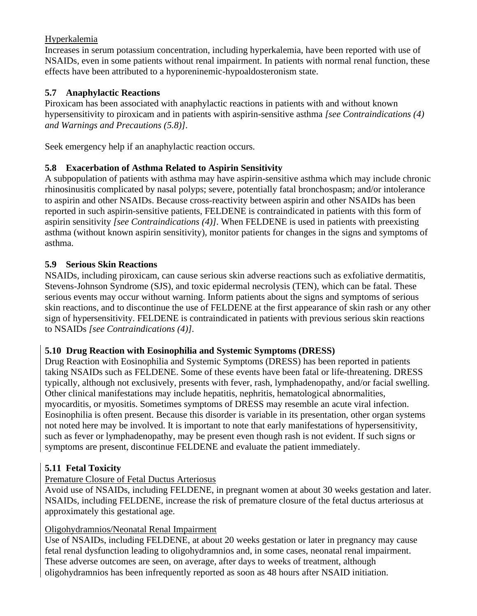# Hyperkalemia

Increases in serum potassium concentration, including hyperkalemia, have been reported with use of NSAIDs, even in some patients without renal impairment. In patients with normal renal function, these effects have been attributed to a hyporeninemic-hypoaldosteronism state.

# **5.7 Anaphylactic Reactions**

Piroxicam has been associated with anaphylactic reactions in patients with and without known hypersensitivity to piroxicam and in patients with aspirin-sensitive asthma *[see Contraindications (4) and Warnings and Precautions (5.8)]*.

Seek emergency help if an anaphylactic reaction occurs.

# **5.8 Exacerbation of Asthma Related to Aspirin Sensitivity**

A subpopulation of patients with asthma may have aspirin-sensitive asthma which may include chronic rhinosinusitis complicated by nasal polyps; severe, potentially fatal bronchospasm; and/or intolerance to aspirin and other NSAIDs. Because cross-reactivity between aspirin and other NSAIDs has been reported in such aspirin-sensitive patients, FELDENE is contraindicated in patients with this form of aspirin sensitivity *[see Contraindications (4)]*. When FELDENE is used in patients with preexisting asthma (without known aspirin sensitivity), monitor patients for changes in the signs and symptoms of asthma.

# **5.9 Serious Skin Reactions**

NSAIDs, including piroxicam, can cause serious skin adverse reactions such as exfoliative dermatitis, Stevens-Johnson Syndrome (SJS), and toxic epidermal necrolysis (TEN), which can be fatal. These serious events may occur without warning. Inform patients about the signs and symptoms of serious skin reactions, and to discontinue the use of FELDENE at the first appearance of skin rash or any other sign of hypersensitivity. FELDENE is contraindicated in patients with previous serious skin reactions to NSAIDs *[see Contraindications (4)]*.

# **5.10 Drug Reaction with Eosinophilia and Systemic Symptoms (DRESS)**

Drug Reaction with Eosinophilia and Systemic Symptoms (DRESS) has been reported in patients taking NSAIDs such as FELDENE. Some of these events have been fatal or life-threatening. DRESS typically, although not exclusively, presents with fever, rash, lymphadenopathy, and/or facial swelling. Other clinical manifestations may include hepatitis, nephritis, hematological abnormalities, myocarditis, or myositis. Sometimes symptoms of DRESS may resemble an acute viral infection. Eosinophilia is often present. Because this disorder is variable in its presentation, other organ systems not noted here may be involved. It is important to note that early manifestations of hypersensitivity, such as fever or lymphadenopathy, may be present even though rash is not evident. If such signs or symptoms are present, discontinue FELDENE and evaluate the patient immediately.

# **5.11 Fetal Toxicity**

# Premature Closure of Fetal Ductus Arteriosus

Avoid use of NSAIDs, including FELDENE, in pregnant women at about 30 weeks gestation and later. NSAIDs, including FELDENE, increase the risk of premature closure of the fetal ductus arteriosus at approximately this gestational age.

# Oligohydramnios/Neonatal Renal Impairment

Use of NSAIDs, including FELDENE, at about 20 weeks gestation or later in pregnancy may cause fetal renal dysfunction leading to oligohydramnios and, in some cases, neonatal renal impairment. These adverse outcomes are seen, on average, after days to weeks of treatment, although oligohydramnios has been infrequently reported as soon as 48 hours after NSAID initiation.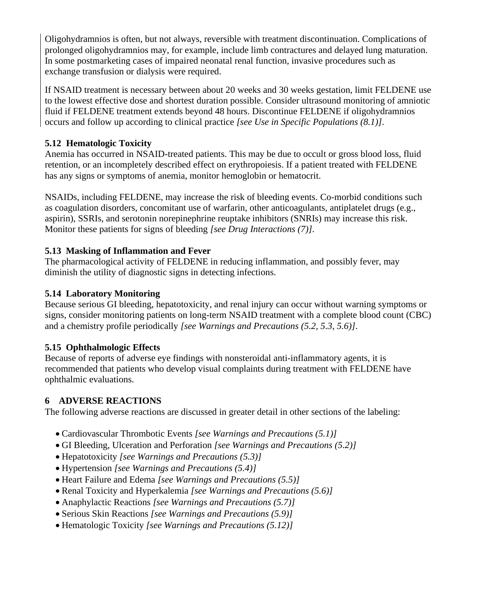Oligohydramnios is often, but not always, reversible with treatment discontinuation. Complications of prolonged oligohydramnios may, for example, include limb contractures and delayed lung maturation. In some postmarketing cases of impaired neonatal renal function, invasive procedures such as exchange transfusion or dialysis were required.

If NSAID treatment is necessary between about 20 weeks and 30 weeks gestation, limit FELDENE use to the lowest effective dose and shortest duration possible. Consider ultrasound monitoring of amniotic fluid if FELDENE treatment extends beyond 48 hours. Discontinue FELDENE if oligohydramnios occurs and follow up according to clinical practice *[see Use in Specific Populations (8.1)]*.

# **5.12 Hematologic Toxicity**

Anemia has occurred in NSAID-treated patients. This may be due to occult or gross blood loss, fluid retention, or an incompletely described effect on erythropoiesis. If a patient treated with FELDENE has any signs or symptoms of anemia, monitor hemoglobin or hematocrit.

NSAIDs, including FELDENE, may increase the risk of bleeding events. Co-morbid conditions such as coagulation disorders, concomitant use of warfarin, other anticoagulants, antiplatelet drugs (e.g., aspirin), SSRIs, and serotonin norepinephrine reuptake inhibitors (SNRIs) may increase this risk. Monitor these patients for signs of bleeding *[see Drug Interactions (7)]*.

# **5.13 Masking of Inflammation and Fever**

The pharmacological activity of FELDENE in reducing inflammation, and possibly fever, may diminish the utility of diagnostic signs in detecting infections.

# **5.14 Laboratory Monitoring**

Because serious GI bleeding, hepatotoxicity, and renal injury can occur without warning symptoms or signs, consider monitoring patients on long-term NSAID treatment with a complete blood count (CBC) and a chemistry profile periodically *[see Warnings and Precautions (5.2, 5.3, 5.6)]*.

### **5.15 Ophthalmologic Effects**

Because of reports of adverse eye findings with nonsteroidal anti-inflammatory agents, it is recommended that patients who develop visual complaints during treatment with FELDENE have ophthalmic evaluations.

### **6 ADVERSE REACTIONS**

The following adverse reactions are discussed in greater detail in other sections of the labeling:

- Cardiovascular Thrombotic Events *[see Warnings and Precautions (5.1)]*
- GI Bleeding, Ulceration and Perforation *[see Warnings and Precautions (5.2)]*
- Hepatotoxicity *[see Warnings and Precautions (5.3)]*
- Hypertension *[see Warnings and Precautions (5.4)]*
- Heart Failure and Edema *[see Warnings and Precautions (5.5)]*
- Renal Toxicity and Hyperkalemia *[see Warnings and Precautions (5.6)]*
- Anaphylactic Reactions *[see Warnings and Precautions (5.7)]*
- Serious Skin Reactions *[see Warnings and Precautions (5.9)]*
- Hematologic Toxicity *[see Warnings and Precautions (5.12)]*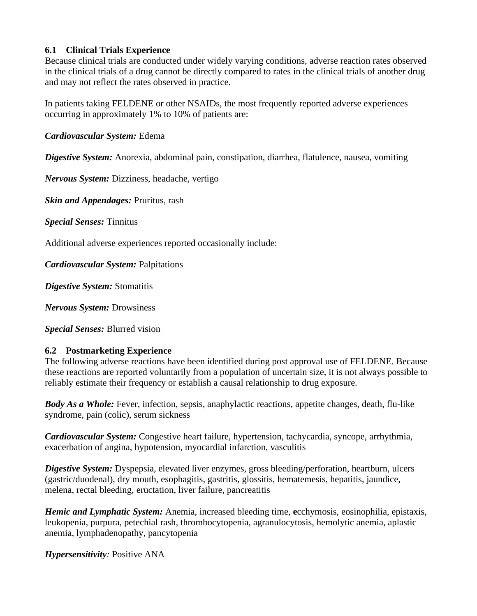### **6.1 Clinical Trials Experience**

Because clinical trials are conducted under widely varying conditions, adverse reaction rates observed in the clinical trials of a drug cannot be directly compared to rates in the clinical trials of another drug and may not reflect the rates observed in practice.

In patients taking FELDENE or other NSAIDs, the most frequently reported adverse experiences occurring in approximately 1% to 10% of patients are:

### *Cardiovascular System:* Edema

*Digestive System:* Anorexia, abdominal pain, constipation, diarrhea, flatulence, nausea, vomiting

*Nervous System:* Dizziness, headache, vertigo

*Skin and Appendages:* Pruritus, rash

*Special Senses:* Tinnitus

Additional adverse experiences reported occasionally include:

*Cardiovascular System:* Palpitations

*Digestive System:* Stomatitis

*Nervous System:* Drowsiness

*Special Senses:* Blurred vision

# **6.2 Postmarketing Experience**

The following adverse reactions have been identified during post approval use of FELDENE. Because these reactions are reported voluntarily from a population of uncertain size, it is not always possible to reliably estimate their frequency or establish a causal relationship to drug exposure.

*Body As a Whole:* Fever, infection, sepsis, anaphylactic reactions, appetite changes, death, flu-like syndrome, pain (colic), serum sickness

*Cardiovascular System:* Congestive heart failure, hypertension, tachycardia, syncope, arrhythmia, exacerbation of angina, hypotension, myocardial infarction, vasculitis

*Digestive System:* Dyspepsia, elevated liver enzymes, gross bleeding/perforation, heartburn, ulcers (gastric/duodenal), dry mouth, esophagitis, gastritis, glossitis, hematemesis, hepatitis, jaundice, melena, rectal bleeding, eructation, liver failure, pancreatitis

*Hemic and Lymphatic System:* Anemia, increased bleeding time, **e**cchymosis, eosinophilia, epistaxis, leukopenia, purpura, petechial rash, thrombocytopenia, agranulocytosis, hemolytic anemia, aplastic anemia, lymphadenopathy, pancytopenia

*Hypersensitivity:* Positive ANA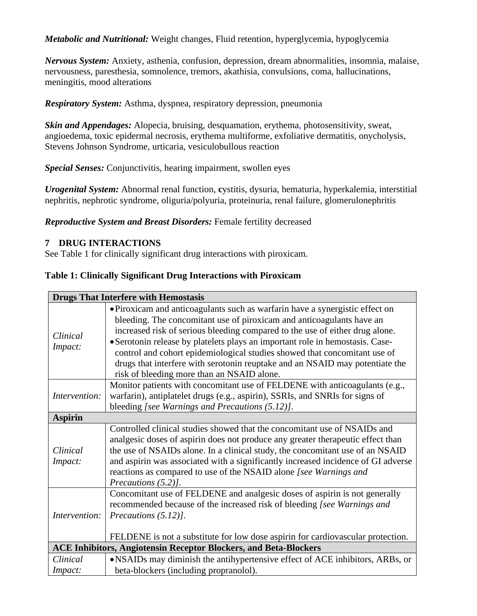*Metabolic and Nutritional:* Weight changes, Fluid retention, hyperglycemia, hypoglycemia

*Nervous System:* Anxiety, asthenia, confusion, depression, dream abnormalities, insomnia, malaise, nervousness, paresthesia, somnolence, tremors, akathisia, convulsions, coma, hallucinations, meningitis, mood alterations

*Respiratory System:* Asthma, dyspnea, respiratory depression, pneumonia

*Skin and Appendages:* Alopecia, bruising, desquamation, erythema, photosensitivity, sweat, angioedema, toxic epidermal necrosis, erythema multiforme, exfoliative dermatitis, onycholysis, Stevens Johnson Syndrome, urticaria, vesiculobullous reaction

*Special Senses:* Conjunctivitis, hearing impairment, swollen eyes

*Urogenital System:* Abnormal renal function, **c**ystitis, dysuria, hematuria, hyperkalemia, interstitial nephritis, nephrotic syndrome, oliguria/polyuria, proteinuria, renal failure, glomerulonephritis

# *Reproductive System and Breast Disorders:* Female fertility decreased

# **7 DRUG INTERACTIONS**

See Table 1 for clinically significant drug interactions with piroxicam.

### **Table 1: Clinically Significant Drug Interactions with Piroxicam**

| <b>Drugs That Interfere with Hemostasis</b>                             |                                                                                                                                                                                                                                                                                                                                                                                                                                                                                                                                   |  |  |
|-------------------------------------------------------------------------|-----------------------------------------------------------------------------------------------------------------------------------------------------------------------------------------------------------------------------------------------------------------------------------------------------------------------------------------------------------------------------------------------------------------------------------------------------------------------------------------------------------------------------------|--|--|
| Clinical<br>Impact:                                                     | • Piroxicam and anticoagulants such as warfarin have a synergistic effect on<br>bleeding. The concomitant use of piroxicam and anticoagulants have an<br>increased risk of serious bleeding compared to the use of either drug alone.<br>• Serotonin release by platelets plays an important role in hemostasis. Case-<br>control and cohort epidemiological studies showed that concomitant use of<br>drugs that interfere with serotonin reuptake and an NSAID may potentiate the<br>risk of bleeding more than an NSAID alone. |  |  |
| Intervention:                                                           | Monitor patients with concomitant use of FELDENE with anticoagulants (e.g.,<br>warfarin), antiplatelet drugs (e.g., aspirin), SSRIs, and SNRIs for signs of<br>bleeding [see Warnings and Precautions (5.12)].                                                                                                                                                                                                                                                                                                                    |  |  |
| <b>Aspirin</b>                                                          |                                                                                                                                                                                                                                                                                                                                                                                                                                                                                                                                   |  |  |
| Clinical<br>Impact:                                                     | Controlled clinical studies showed that the concomitant use of NSAIDs and<br>analgesic doses of aspirin does not produce any greater therapeutic effect than<br>the use of NSAIDs alone. In a clinical study, the concomitant use of an NSAID<br>and aspirin was associated with a significantly increased incidence of GI adverse<br>reactions as compared to use of the NSAID alone [see Warnings and<br>Precautions $(5.2)$ ].                                                                                                 |  |  |
| Intervention:                                                           | Concomitant use of FELDENE and analgesic doses of aspirin is not generally<br>recommended because of the increased risk of bleeding [see Warnings and<br>Precautions $(5.12)$ .<br>FELDENE is not a substitute for low dose aspirin for cardiovascular protection.                                                                                                                                                                                                                                                                |  |  |
| <b>ACE Inhibitors, Angiotensin Receptor Blockers, and Beta-Blockers</b> |                                                                                                                                                                                                                                                                                                                                                                                                                                                                                                                                   |  |  |
| Clinical                                                                | • NSAIDs may diminish the antihypertensive effect of ACE inhibitors, ARBs, or                                                                                                                                                                                                                                                                                                                                                                                                                                                     |  |  |
| <i>Impact:</i>                                                          | beta-blockers (including propranolol).                                                                                                                                                                                                                                                                                                                                                                                                                                                                                            |  |  |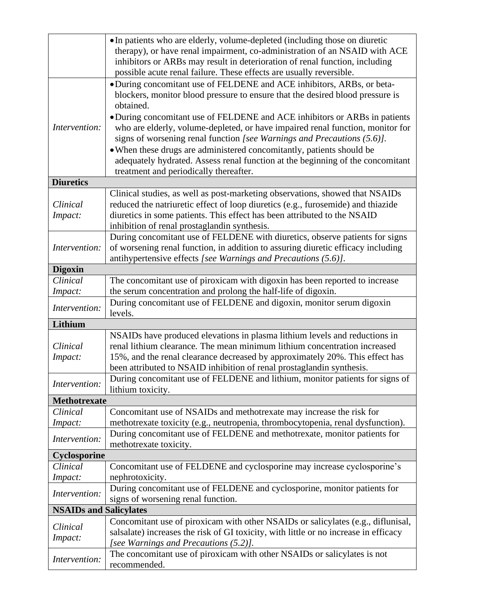|                               | • In patients who are elderly, volume-depleted (including those on diuretic                                                                        |  |
|-------------------------------|----------------------------------------------------------------------------------------------------------------------------------------------------|--|
|                               | therapy), or have renal impairment, co-administration of an NSAID with ACE                                                                         |  |
|                               | inhibitors or ARBs may result in deterioration of renal function, including                                                                        |  |
|                               | possible acute renal failure. These effects are usually reversible.                                                                                |  |
|                               | • During concomitant use of FELDENE and ACE inhibitors, ARBs, or beta-                                                                             |  |
|                               | blockers, monitor blood pressure to ensure that the desired blood pressure is                                                                      |  |
|                               | obtained.                                                                                                                                          |  |
|                               | • During concomitant use of FELDENE and ACE inhibitors or ARBs in patients                                                                         |  |
| Intervention:                 | who are elderly, volume-depleted, or have impaired renal function, monitor for                                                                     |  |
|                               | signs of worsening renal function [see Warnings and Precautions (5.6)].                                                                            |  |
|                               | • When these drugs are administered concomitantly, patients should be                                                                              |  |
|                               | adequately hydrated. Assess renal function at the beginning of the concomitant                                                                     |  |
|                               | treatment and periodically thereafter.                                                                                                             |  |
| <b>Diuretics</b>              |                                                                                                                                                    |  |
|                               | Clinical studies, as well as post-marketing observations, showed that NSAIDs                                                                       |  |
| Clinical                      | reduced the natriuretic effect of loop diuretics (e.g., furosemide) and thiazide                                                                   |  |
| Impact:                       | diuretics in some patients. This effect has been attributed to the NSAID                                                                           |  |
|                               | inhibition of renal prostaglandin synthesis.                                                                                                       |  |
| Intervention:                 | During concomitant use of FELDENE with diuretics, observe patients for signs                                                                       |  |
|                               | of worsening renal function, in addition to assuring diuretic efficacy including<br>antihypertensive effects [see Warnings and Precautions (5.6)]. |  |
| <b>Digoxin</b>                |                                                                                                                                                    |  |
| Clinical                      | The concomitant use of piroxicam with digoxin has been reported to increase                                                                        |  |
| Impact:                       | the serum concentration and prolong the half-life of digoxin.                                                                                      |  |
|                               | During concomitant use of FELDENE and digoxin, monitor serum digoxin                                                                               |  |
| Intervention:                 | levels.                                                                                                                                            |  |
| Lithium                       |                                                                                                                                                    |  |
|                               | NSAIDs have produced elevations in plasma lithium levels and reductions in                                                                         |  |
| Clinical                      | renal lithium clearance. The mean minimum lithium concentration increased                                                                          |  |
| Impact:                       | 15%, and the renal clearance decreased by approximately 20%. This effect has                                                                       |  |
|                               | been attributed to NSAID inhibition of renal prostaglandin synthesis.                                                                              |  |
| Intervention:                 | During concomitant use of FELDENE and lithium, monitor patients for signs of                                                                       |  |
|                               | lithium toxicity.                                                                                                                                  |  |
| <b>Methotrexate</b>           |                                                                                                                                                    |  |
| Clinical                      | Concomitant use of NSAIDs and methotrexate may increase the risk for                                                                               |  |
| Impact:                       | methotrexate toxicity (e.g., neutropenia, thrombocytopenia, renal dysfunction).                                                                    |  |
| Intervention:                 | During concomitant use of FELDENE and methotrexate, monitor patients for                                                                           |  |
|                               | methotrexate toxicity.                                                                                                                             |  |
| Cyclosporine<br>Clinical      | Concomitant use of FELDENE and cyclosporine may increase cyclosporine's                                                                            |  |
|                               | nephrotoxicity.                                                                                                                                    |  |
| Impact:                       | During concomitant use of FELDENE and cyclosporine, monitor patients for                                                                           |  |
| Intervention:                 | signs of worsening renal function.                                                                                                                 |  |
| <b>NSAIDs and Salicylates</b> |                                                                                                                                                    |  |
|                               | Concomitant use of piroxicam with other NSAIDs or salicylates (e.g., diflunisal,                                                                   |  |
| Clinical                      | salsalate) increases the risk of GI toxicity, with little or no increase in efficacy                                                               |  |
| Impact:                       | [see Warnings and Precautions (5.2)].                                                                                                              |  |
| Intervention:                 | The concomitant use of piroxicam with other NSAIDs or salicylates is not                                                                           |  |
|                               | recommended.                                                                                                                                       |  |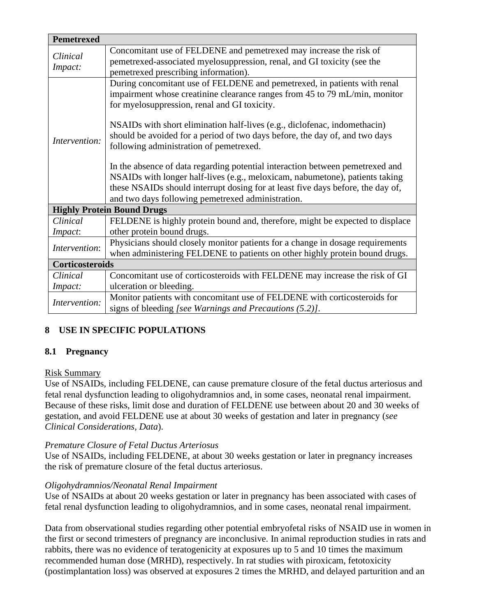| <b>Pemetrexed</b>          |                                                                                                                                                                                                                                                                                                       |  |
|----------------------------|-------------------------------------------------------------------------------------------------------------------------------------------------------------------------------------------------------------------------------------------------------------------------------------------------------|--|
| Clinical<br>Impact:        | Concomitant use of FELDENE and pemetrexed may increase the risk of<br>pemetrexed-associated myelosuppression, renal, and GI toxicity (see the<br>pemetrexed prescribing information).                                                                                                                 |  |
| Intervention:              | During concomitant use of FELDENE and pemetrexed, in patients with renal<br>impairment whose creatinine clearance ranges from 45 to 79 mL/min, monitor<br>for myelosuppression, renal and GI toxicity.                                                                                                |  |
|                            | NSAIDs with short elimination half-lives (e.g., diclofenac, indomethacin)<br>should be avoided for a period of two days before, the day of, and two days<br>following administration of pemetrexed.                                                                                                   |  |
|                            | In the absence of data regarding potential interaction between pemetrexed and<br>NSAIDs with longer half-lives (e.g., meloxicam, nabumetone), patients taking<br>these NSAIDs should interrupt dosing for at least five days before, the day of,<br>and two days following pemetrexed administration. |  |
|                            | <b>Highly Protein Bound Drugs</b>                                                                                                                                                                                                                                                                     |  |
| Clinical<br>Impact:        | FELDENE is highly protein bound and, therefore, might be expected to displace<br>other protein bound drugs.                                                                                                                                                                                           |  |
| Intervention:              | Physicians should closely monitor patients for a change in dosage requirements<br>when administering FELDENE to patients on other highly protein bound drugs.                                                                                                                                         |  |
| Corticosteroids            |                                                                                                                                                                                                                                                                                                       |  |
| Clinical<br><i>Impact:</i> | Concomitant use of corticosteroids with FELDENE may increase the risk of GI<br>ulceration or bleeding.                                                                                                                                                                                                |  |
| Intervention:              | Monitor patients with concomitant use of FELDENE with corticosteroids for<br>signs of bleeding [see Warnings and Precautions (5.2)].                                                                                                                                                                  |  |

# **8 USE IN SPECIFIC POPULATIONS**

### **8.1 Pregnancy**

#### Risk Summary

Use of NSAIDs, including FELDENE, can cause premature closure of the fetal ductus arteriosus and fetal renal dysfunction leading to oligohydramnios and, in some cases, neonatal renal impairment. Because of these risks, limit dose and duration of FELDENE use between about 20 and 30 weeks of gestation, and avoid FELDENE use at about 30 weeks of gestation and later in pregnancy (*see Clinical Considerations, Data*).

### *Premature Closure of Fetal Ductus Arteriosus*

Use of NSAIDs, including FELDENE, at about 30 weeks gestation or later in pregnancy increases the risk of premature closure of the fetal ductus arteriosus.

#### *Oligohydramnios/Neonatal Renal Impairment*

Use of NSAIDs at about 20 weeks gestation or later in pregnancy has been associated with cases of fetal renal dysfunction leading to oligohydramnios, and in some cases, neonatal renal impairment.

Data from observational studies regarding other potential embryofetal risks of NSAID use in women in the first or second trimesters of pregnancy are inconclusive. In animal reproduction studies in rats and rabbits, there was no evidence of teratogenicity at exposures up to 5 and 10 times the maximum recommended human dose (MRHD), respectively. In rat studies with piroxicam, fetotoxicity (postimplantation loss) was observed at exposures 2 times the MRHD, and delayed parturition and an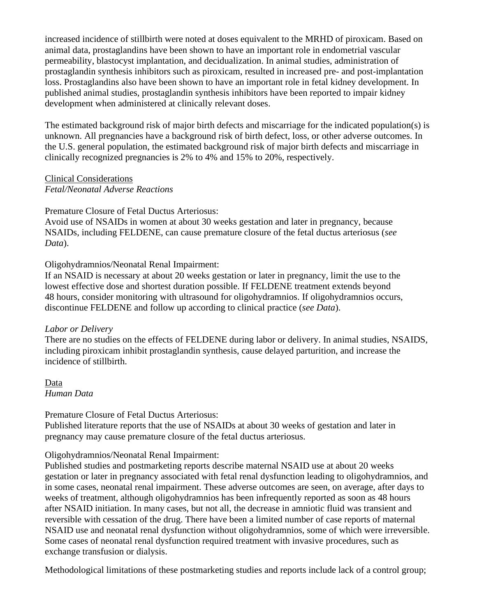increased incidence of stillbirth were noted at doses equivalent to the MRHD of piroxicam. Based on animal data, prostaglandins have been shown to have an important role in endometrial vascular permeability, blastocyst implantation, and decidualization. In animal studies, administration of prostaglandin synthesis inhibitors such as piroxicam, resulted in increased pre- and post-implantation loss. Prostaglandins also have been shown to have an important role in fetal kidney development. In published animal studies, prostaglandin synthesis inhibitors have been reported to impair kidney development when administered at clinically relevant doses.

The estimated background risk of major birth defects and miscarriage for the indicated population(s) is unknown. All pregnancies have a background risk of birth defect, loss, or other adverse outcomes. In the U.S. general population, the estimated background risk of major birth defects and miscarriage in clinically recognized pregnancies is 2% to 4% and 15% to 20%, respectively.

Clinical Considerations *Fetal/Neonatal Adverse Reactions*

Premature Closure of Fetal Ductus Arteriosus:

Avoid use of NSAIDs in women at about 30 weeks gestation and later in pregnancy, because NSAIDs, including FELDENE, can cause premature closure of the fetal ductus arteriosus (*see Data*).

Oligohydramnios/Neonatal Renal Impairment:

If an NSAID is necessary at about 20 weeks gestation or later in pregnancy, limit the use to the lowest effective dose and shortest duration possible. If FELDENE treatment extends beyond 48 hours, consider monitoring with ultrasound for oligohydramnios. If oligohydramnios occurs, discontinue FELDENE and follow up according to clinical practice (*see Data*).

### *Labor or Delivery*

There are no studies on the effects of FELDENE during labor or delivery. In animal studies, NSAIDS, including piroxicam inhibit prostaglandin synthesis, cause delayed parturition, and increase the incidence of stillbirth.

Data *Human Data*

Premature Closure of Fetal Ductus Arteriosus:

Published literature reports that the use of NSAIDs at about 30 weeks of gestation and later in pregnancy may cause premature closure of the fetal ductus arteriosus.

### Oligohydramnios/Neonatal Renal Impairment:

Published studies and postmarketing reports describe maternal NSAID use at about 20 weeks gestation or later in pregnancy associated with fetal renal dysfunction leading to oligohydramnios, and in some cases, neonatal renal impairment. These adverse outcomes are seen, on average, after days to weeks of treatment, although oligohydramnios has been infrequently reported as soon as 48 hours after NSAID initiation. In many cases, but not all, the decrease in amniotic fluid was transient and reversible with cessation of the drug. There have been a limited number of case reports of maternal NSAID use and neonatal renal dysfunction without oligohydramnios, some of which were irreversible. Some cases of neonatal renal dysfunction required treatment with invasive procedures, such as exchange transfusion or dialysis.

Methodological limitations of these postmarketing studies and reports include lack of a control group;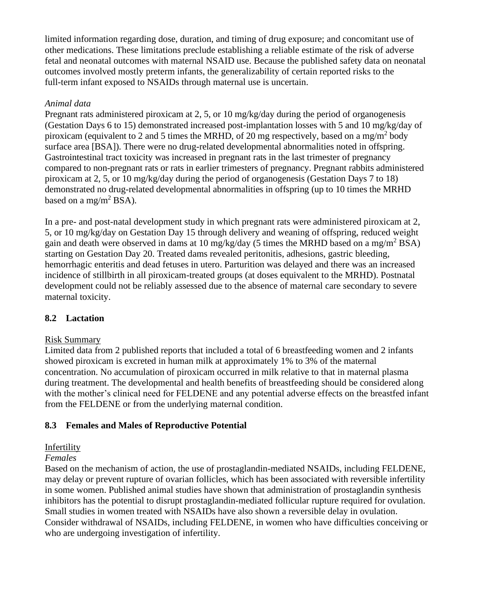limited information regarding dose, duration, and timing of drug exposure; and concomitant use of other medications. These limitations preclude establishing a reliable estimate of the risk of adverse fetal and neonatal outcomes with maternal NSAID use. Because the published safety data on neonatal outcomes involved mostly preterm infants, the generalizability of certain reported risks to the full-term infant exposed to NSAIDs through maternal use is uncertain.

### *Animal data*

Pregnant rats administered piroxicam at 2, 5, or 10 mg/kg/day during the period of organogenesis (Gestation Days 6 to 15) demonstrated increased post-implantation losses with 5 and 10 mg/kg/day of piroxicam (equivalent to 2 and 5 times the MRHD, of 20 mg respectively, based on a mg/m<sup>2</sup> body surface area [BSA]). There were no drug-related developmental abnormalities noted in offspring. Gastrointestinal tract toxicity was increased in pregnant rats in the last trimester of pregnancy compared to non-pregnant rats or rats in earlier trimesters of pregnancy. Pregnant rabbits administered piroxicam at 2, 5, or 10 mg/kg/day during the period of organogenesis (Gestation Days 7 to 18) demonstrated no drug-related developmental abnormalities in offspring (up to 10 times the MRHD based on a mg/m<sup>2</sup> BSA).

In a pre- and post-natal development study in which pregnant rats were administered piroxicam at 2, 5, or 10 mg/kg/day on Gestation Day 15 through delivery and weaning of offspring, reduced weight gain and death were observed in dams at 10 mg/kg/day (5 times the MRHD based on a mg/m<sup>2</sup> BSA) starting on Gestation Day 20. Treated dams revealed peritonitis, adhesions, gastric bleeding, hemorrhagic enteritis and dead fetuses in utero. Parturition was delayed and there was an increased incidence of stillbirth in all piroxicam-treated groups (at doses equivalent to the MRHD). Postnatal development could not be reliably assessed due to the absence of maternal care secondary to severe maternal toxicity.

# **8.2 Lactation**

# Risk Summary

Limited data from 2 published reports that included a total of 6 breastfeeding women and 2 infants showed piroxicam is excreted in human milk at approximately 1% to 3% of the maternal concentration. No accumulation of piroxicam occurred in milk relative to that in maternal plasma during treatment. The developmental and health benefits of breastfeeding should be considered along with the mother's clinical need for FELDENE and any potential adverse effects on the breastfed infant from the FELDENE or from the underlying maternal condition.

# **8.3 Females and Males of Reproductive Potential**

# Infertility

# *Females*

Based on the mechanism of action, the use of prostaglandin-mediated NSAIDs, including FELDENE, may delay or prevent rupture of ovarian follicles, which has been associated with reversible infertility in some women. Published animal studies have shown that administration of prostaglandin synthesis inhibitors has the potential to disrupt prostaglandin-mediated follicular rupture required for ovulation. Small studies in women treated with NSAIDs have also shown a reversible delay in ovulation. Consider withdrawal of NSAIDs, including FELDENE, in women who have difficulties conceiving or who are undergoing investigation of infertility.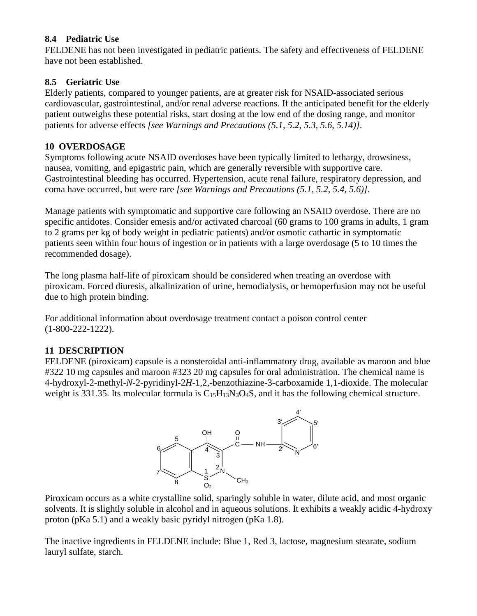# **8.4 Pediatric Use**

FELDENE has not been investigated in pediatric patients. The safety and effectiveness of FELDENE have not been established.

# **8.5 Geriatric Use**

Elderly patients, compared to younger patients, are at greater risk for NSAID-associated serious cardiovascular, gastrointestinal, and/or renal adverse reactions. If the anticipated benefit for the elderly patient outweighs these potential risks, start dosing at the low end of the dosing range, and monitor patients for adverse effects *[see Warnings and Precautions (5.1, 5.2, 5.3, 5.6, 5.14)]*.

### **10 OVERDOSAGE**

Symptoms following acute NSAID overdoses have been typically limited to lethargy, drowsiness, nausea, vomiting, and epigastric pain, which are generally reversible with supportive care. Gastrointestinal bleeding has occurred. Hypertension, acute renal failure, respiratory depression, and coma have occurred, but were rare *[see Warnings and Precautions (5.1, 5.2, 5.4, 5.6)]*.

Manage patients with symptomatic and supportive care following an NSAID overdose. There are no specific antidotes. Consider emesis and/or activated charcoal (60 grams to 100 grams in adults, 1 gram to 2 grams per kg of body weight in pediatric patients) and/or osmotic cathartic in symptomatic patients seen within four hours of ingestion or in patients with a large overdosage (5 to 10 times the recommended dosage).

The long plasma half-life of piroxicam should be considered when treating an overdose with piroxicam. Forced diuresis, alkalinization of urine, hemodialysis, or hemoperfusion may not be useful due to high protein binding.

For additional information about overdosage treatment contact a poison control center (1-800-222-1222).

# **11 DESCRIPTION**

FELDENE (piroxicam) capsule is a nonsteroidal anti-inflammatory drug, available as maroon and blue #322 10 mg capsules and maroon #323 20 mg capsules for oral administration. The chemical name is 4-hydroxyl-2-methyl-*N*-2-pyridinyl-2*H*-1,2,-benzothiazine-3-carboxamide 1,1-dioxide. The molecular weight is 331.35. Its molecular formula is C<sub>15</sub>H<sub>13</sub>N<sub>3</sub>O<sub>4</sub>S, and it has the following chemical structure.



Piroxicam occurs as a white crystalline solid, sparingly soluble in water, dilute acid, and most organic solvents. It is slightly soluble in alcohol and in aqueous solutions. It exhibits a weakly acidic 4-hydroxy proton (pKa 5.1) and a weakly basic pyridyl nitrogen (pKa 1.8).

The inactive ingredients in FELDENE include: Blue 1, Red 3, lactose, magnesium stearate, sodium lauryl sulfate, starch.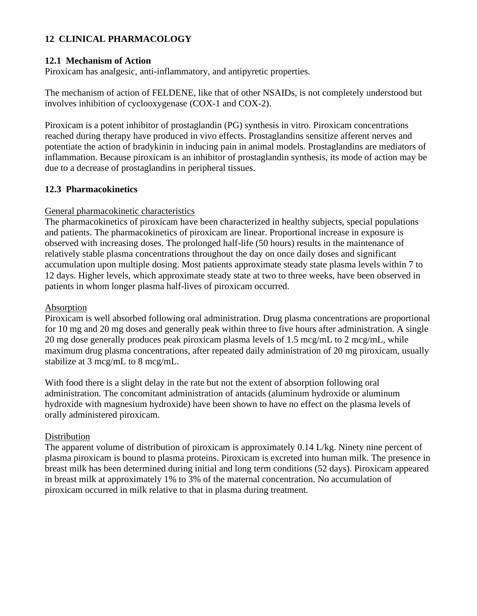# **12 CLINICAL PHARMACOLOGY**

#### **12.1 Mechanism of Action**

Piroxicam has analgesic, anti-inflammatory, and antipyretic properties.

The mechanism of action of FELDENE, like that of other NSAIDs, is not completely understood but involves inhibition of cyclooxygenase (COX-1 and COX-2).

Piroxicam is a potent inhibitor of prostaglandin (PG) synthesis in vitro. Piroxicam concentrations reached during therapy have produced in vivo effects. Prostaglandins sensitize afferent nerves and potentiate the action of bradykinin in inducing pain in animal models. Prostaglandins are mediators of inflammation. Because piroxicam is an inhibitor of prostaglandin synthesis, its mode of action may be due to a decrease of prostaglandins in peripheral tissues.

#### **12.3 Pharmacokinetics**

#### General pharmacokinetic characteristics

The pharmacokinetics of piroxicam have been characterized in healthy subjects, special populations and patients. The pharmacokinetics of piroxicam are linear. Proportional increase in exposure is observed with increasing doses. The prolonged half-life (50 hours) results in the maintenance of relatively stable plasma concentrations throughout the day on once daily doses and significant accumulation upon multiple dosing. Most patients approximate steady state plasma levels within 7 to 12 days. Higher levels, which approximate steady state at two to three weeks, have been observed in patients in whom longer plasma half-lives of piroxicam occurred.

#### Absorption

Piroxicam is well absorbed following oral administration. Drug plasma concentrations are proportional for 10 mg and 20 mg doses and generally peak within three to five hours after administration. A single 20 mg dose generally produces peak piroxicam plasma levels of 1.5 mcg/mL to 2 mcg/mL, while maximum drug plasma concentrations, after repeated daily administration of 20 mg piroxicam, usually stabilize at 3 mcg/mL to 8 mcg/mL.

With food there is a slight delay in the rate but not the extent of absorption following oral administration. The concomitant administration of antacids (aluminum hydroxide or aluminum hydroxide with magnesium hydroxide) have been shown to have no effect on the plasma levels of orally administered piroxicam.

#### Distribution

The apparent volume of distribution of piroxicam is approximately 0.14 L/kg. Ninety nine percent of plasma piroxicam is bound to plasma proteins. Piroxicam is excreted into human milk. The presence in breast milk has been determined during initial and long term conditions (52 days). Piroxicam appeared in breast milk at approximately 1% to 3% of the maternal concentration. No accumulation of piroxicam occurred in milk relative to that in plasma during treatment.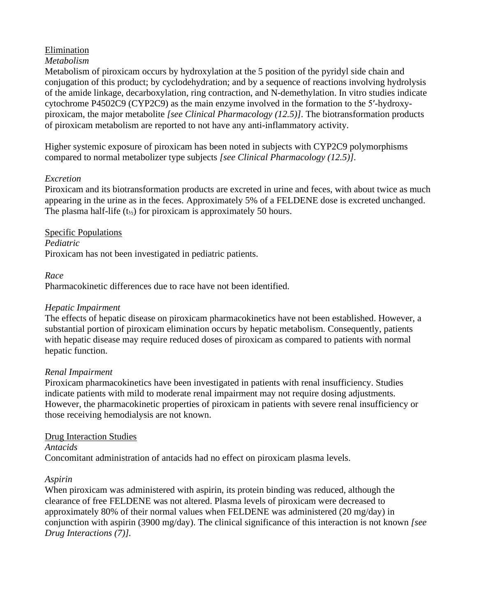# Elimination

#### *Metabolism*

Metabolism of piroxicam occurs by hydroxylation at the 5 position of the pyridyl side chain and conjugation of this product; by cyclodehydration; and by a sequence of reactions involving hydrolysis of the amide linkage, decarboxylation, ring contraction, and N-demethylation. In vitro studies indicate cytochrome P4502C9 (CYP2C9) as the main enzyme involved in the formation to the 5′-hydroxypiroxicam, the major metabolite *[see Clinical Pharmacology (12.5)]*. The biotransformation products of piroxicam metabolism are reported to not have any anti-inflammatory activity.

Higher systemic exposure of piroxicam has been noted in subjects with CYP2C9 polymorphisms compared to normal metabolizer type subjects *[see Clinical Pharmacology (12.5)]*.

#### *Excretion*

Piroxicam and its biotransformation products are excreted in urine and feces, with about twice as much appearing in the urine as in the feces. Approximately 5% of a FELDENE dose is excreted unchanged. The plasma half-life  $(t_{\ell_2})$  for piroxicam is approximately 50 hours.

Specific Populations *Pediatric* Piroxicam has not been investigated in pediatric patients.

#### *Race*

Pharmacokinetic differences due to race have not been identified.

#### *Hepatic Impairment*

The effects of hepatic disease on piroxicam pharmacokinetics have not been established. However, a substantial portion of piroxicam elimination occurs by hepatic metabolism. Consequently, patients with hepatic disease may require reduced doses of piroxicam as compared to patients with normal hepatic function.

#### *Renal Impairment*

Piroxicam pharmacokinetics have been investigated in patients with renal insufficiency. Studies indicate patients with mild to moderate renal impairment may not require dosing adjustments. However, the pharmacokinetic properties of piroxicam in patients with severe renal insufficiency or those receiving hemodialysis are not known.

#### Drug Interaction Studies

*Antacids*

Concomitant administration of antacids had no effect on piroxicam plasma levels.

#### *Aspirin*

When piroxicam was administered with aspirin, its protein binding was reduced, although the clearance of free FELDENE was not altered. Plasma levels of piroxicam were decreased to approximately 80% of their normal values when FELDENE was administered (20 mg/day) in conjunction with aspirin (3900 mg/day). The clinical significance of this interaction is not known *[see Drug Interactions (7)].*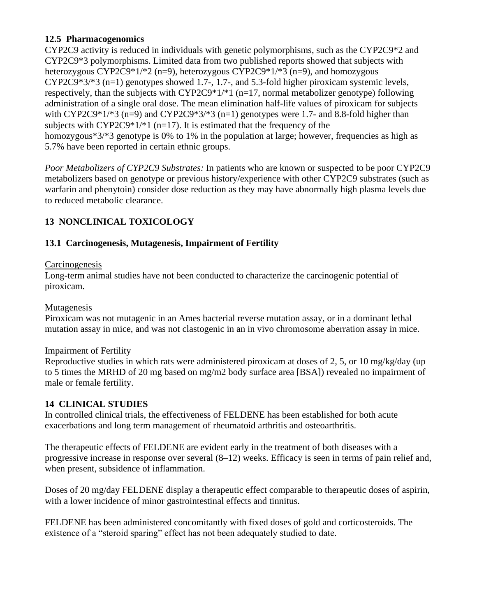### **12.5 Pharmacogenomics**

CYP2C9 activity is reduced in individuals with genetic polymorphisms, such as the CYP2C9\*2 and CYP2C9\*3 polymorphisms. Limited data from two published reports showed that subjects with heterozygous CYP2C9\*1/\*2 (n=9), heterozygous CYP2C9\*1/\*3 (n=9), and homozygous CYP2C9\*3/\*3 (n=1) genotypes showed 1.7-, 1.7-, and 5.3-fold higher piroxicam systemic levels, respectively, than the subjects with  $\text{CYP2C9*1/*1}$  (n=17, normal metabolizer genotype) following administration of a single oral dose. The mean elimination half-life values of piroxicam for subjects with CYP2C9\*1/\*3 (n=9) and CYP2C9\*3/\*3 (n=1) genotypes were 1.7- and 8.8-fold higher than subjects with CYP2C9 $*1/*1$  (n=17). It is estimated that the frequency of the homozygous\*3/\*3 genotype is 0% to 1% in the population at large; however, frequencies as high as 5.7% have been reported in certain ethnic groups.

*Poor Metabolizers of CYP2C9 Substrates:* In patients who are known or suspected to be poor CYP2C9 metabolizers based on genotype or previous history/experience with other CYP2C9 substrates (such as warfarin and phenytoin) consider dose reduction as they may have abnormally high plasma levels due to reduced metabolic clearance.

# **13 NONCLINICAL TOXICOLOGY**

# **13.1 Carcinogenesis, Mutagenesis, Impairment of Fertility**

### **Carcinogenesis**

Long-term animal studies have not been conducted to characterize the carcinogenic potential of piroxicam.

#### Mutagenesis

Piroxicam was not mutagenic in an Ames bacterial reverse mutation assay, or in a dominant lethal mutation assay in mice, and was not clastogenic in an in vivo chromosome aberration assay in mice.

### Impairment of Fertility

Reproductive studies in which rats were administered piroxicam at doses of 2, 5, or 10 mg/kg/day (up to 5 times the MRHD of 20 mg based on mg/m2 body surface area [BSA]) revealed no impairment of male or female fertility.

### **14 CLINICAL STUDIES**

In controlled clinical trials, the effectiveness of FELDENE has been established for both acute exacerbations and long term management of rheumatoid arthritis and osteoarthritis.

The therapeutic effects of FELDENE are evident early in the treatment of both diseases with a progressive increase in response over several (8–12) weeks. Efficacy is seen in terms of pain relief and, when present, subsidence of inflammation.

Doses of 20 mg/day FELDENE display a therapeutic effect comparable to therapeutic doses of aspirin, with a lower incidence of minor gastrointestinal effects and tinnitus.

FELDENE has been administered concomitantly with fixed doses of gold and corticosteroids. The existence of a "steroid sparing" effect has not been adequately studied to date.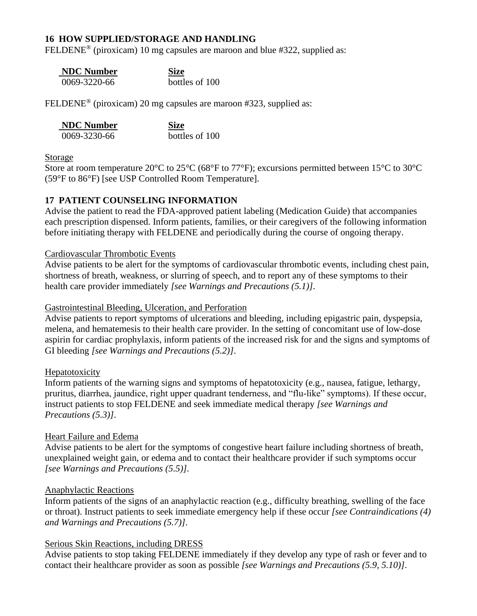#### **16 HOW SUPPLIED/STORAGE AND HANDLING**

FELDENE<sup>®</sup> (piroxicam) 10 mg capsules are maroon and blue #322, supplied as:

| <b>NDC Number</b> |
|-------------------|
| 0069-3220-66      |

**Size**  $\overline{\text{bottles of } 100}$ 

FELDENE<sup>®</sup> (piroxicam) 20 mg capsules are maroon #323, supplied as:

| <b>NDC</b> Number | <b>Size</b>    |
|-------------------|----------------|
| 0069-3230-66      | bottles of 100 |

#### Storage

Store at room temperature 20°C to 25°C (68°F to 77°F); excursions permitted between 15°C to 30°C (59°F to 86°F) [see USP Controlled Room Temperature].

#### **17 PATIENT COUNSELING INFORMATION**

Advise the patient to read the FDA-approved patient labeling (Medication Guide) that accompanies each prescription dispensed. Inform patients, families, or their caregivers of the following information before initiating therapy with FELDENE and periodically during the course of ongoing therapy.

#### Cardiovascular Thrombotic Events

Advise patients to be alert for the symptoms of cardiovascular thrombotic events, including chest pain, shortness of breath, weakness, or slurring of speech, and to report any of these symptoms to their health care provider immediately *[see Warnings and Precautions (5.1)]*.

#### Gastrointestinal Bleeding, Ulceration, and Perforation

Advise patients to report symptoms of ulcerations and bleeding, including epigastric pain, dyspepsia, melena, and hematemesis to their health care provider. In the setting of concomitant use of low-dose aspirin for cardiac prophylaxis, inform patients of the increased risk for and the signs and symptoms of GI bleeding *[see Warnings and Precautions (5.2)]*.

#### Hepatotoxicity

Inform patients of the warning signs and symptoms of hepatotoxicity (e.g., nausea, fatigue, lethargy, pruritus, diarrhea, jaundice, right upper quadrant tenderness, and "flu-like" symptoms). If these occur, instruct patients to stop FELDENE and seek immediate medical therapy *[see Warnings and Precautions (5.3)]*.

#### Heart Failure and Edema

Advise patients to be alert for the symptoms of congestive heart failure including shortness of breath, unexplained weight gain, or edema and to contact their healthcare provider if such symptoms occur *[see Warnings and Precautions (5.5)]*.

#### Anaphylactic Reactions

Inform patients of the signs of an anaphylactic reaction (e.g., difficulty breathing, swelling of the face or throat). Instruct patients to seek immediate emergency help if these occur *[see Contraindications (4) and Warnings and Precautions (5.7)]*.

#### Serious Skin Reactions, including DRESS

Advise patients to stop taking FELDENE immediately if they develop any type of rash or fever and to contact their healthcare provider as soon as possible *[see Warnings and Precautions (5.9, 5.10)]*.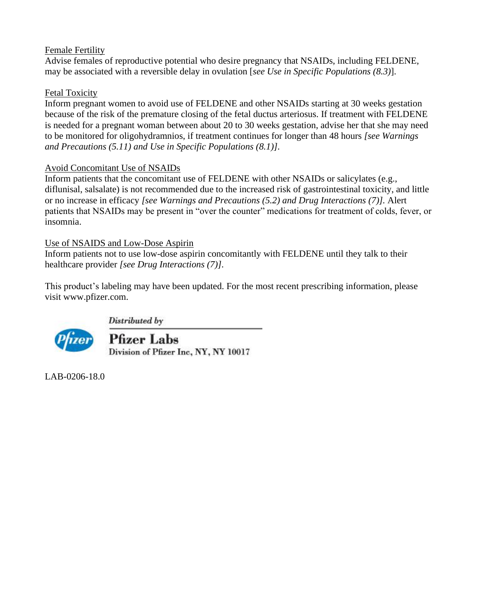### Female Fertility

Advise females of reproductive potential who desire pregnancy that NSAIDs, including FELDENE, may be associated with a reversible delay in ovulation [*see Use in Specific Populations (8.3)*].

# Fetal Toxicity

Inform pregnant women to avoid use of FELDENE and other NSAIDs starting at 30 weeks gestation because of the risk of the premature closing of the fetal ductus arteriosus. If treatment with FELDENE is needed for a pregnant woman between about 20 to 30 weeks gestation, advise her that she may need to be monitored for oligohydramnios, if treatment continues for longer than 48 hours *[see Warnings and Precautions (5.11) and Use in Specific Populations (8.1)]*.

# Avoid Concomitant Use of NSAIDs

Inform patients that the concomitant use of FELDENE with other NSAIDs or salicylates (e.g., diflunisal, salsalate) is not recommended due to the increased risk of gastrointestinal toxicity, and little or no increase in efficacy *[see Warnings and Precautions (5.2) and Drug Interactions (7)].* Alert patients that NSAIDs may be present in "over the counter" medications for treatment of colds, fever, or insomnia.

# Use of NSAIDS and Low-Dose Aspirin

Inform patients not to use low-dose aspirin concomitantly with FELDENE until they talk to their healthcare provider *[see Drug Interactions (7)]*.

This product's labeling may have been updated. For the most recent prescribing information, please visit [www.pfizer.com.](http://www.pfizer.com/)



Distributed by

**Pfizer Labs** Division of Pfizer Inc, NY, NY 10017

LAB-0206-18.0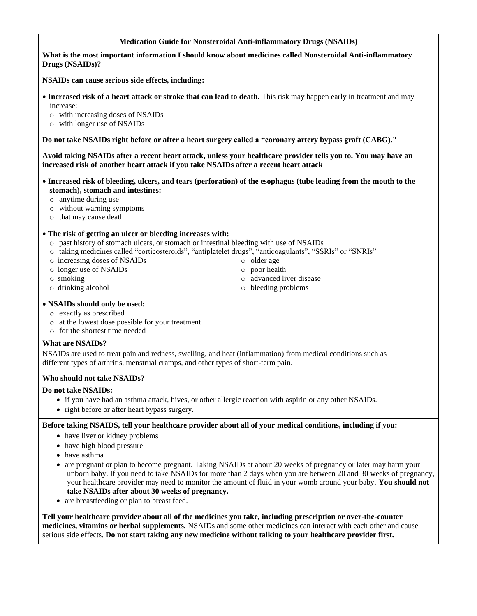#### **Medication Guide for Nonsteroidal Anti-inflammatory Drugs (NSAIDs)**

#### **What is the most important information I should know about medicines called Nonsteroidal Anti-inflammatory Drugs (NSAIDs)?**

**NSAIDs can cause serious side effects, including:**

- **Increased risk of a heart attack or stroke that can lead to death.** This risk may happen early in treatment and may increase:
	- o with increasing doses of NSAIDs
	- o with longer use of NSAIDs

**Do not take NSAIDs right before or after a heart surgery called a "coronary artery bypass graft (CABG)."**

**Avoid taking NSAIDs after a recent heart attack, unless your healthcare provider tells you to. You may have an increased risk of another heart attack if you take NSAIDs after a recent heart attack**

- **Increased risk of bleeding, ulcers, and tears (perforation) of the esophagus (tube leading from the mouth to the stomach), stomach and intestines:**
	- o anytime during use
	- o without warning symptoms
	- o that may cause death

#### • **The risk of getting an ulcer or bleeding increases with:**

- $\circ$  past history of stomach ulcers, or stomach or intestinal bleeding with use of NSAIDs
- o taking medicines called "corticosteroids", "antiplatelet drugs", "anticoagulants", "SSRIs" or "SNRIs"
- o increasing doses of NSAIDs
- o longer use of NSAIDs
- o smoking
- o drinking alcohol
- o older age o poor health
- o advanced liver disease
- o bleeding problems

- **NSAIDs should only be used:**
	- o exactly as prescribed
	- o at the lowest dose possible for your treatment
	- o for the shortest time needed

#### **What are NSAIDs?**

NSAIDs are used to treat pain and redness, swelling, and heat (inflammation) from medical conditions such as different types of arthritis, menstrual cramps, and other types of short-term pain.

#### **Who should not take NSAIDs?**

#### **Do not take NSAIDs:**

- if you have had an asthma attack, hives, or other allergic reaction with aspirin or any other NSAIDs.
- right before or after heart bypass surgery.

#### **Before taking NSAIDS, tell your healthcare provider about all of your medical conditions, including if you:**

- have liver or kidney problems
- have high blood pressure
- have asthma
- are pregnant or plan to become pregnant. Taking NSAIDs at about 20 weeks of pregnancy or later may harm your unborn baby. If you need to take NSAIDs for more than 2 days when you are between 20 and 30 weeks of pregnancy, your healthcare provider may need to monitor the amount of fluid in your womb around your baby. **You should not take NSAIDs after about 30 weeks of pregnancy.**
- are breastfeeding or plan to breast feed.

**Tell your healthcare provider about all of the medicines you take, including prescription or over-the-counter medicines, vitamins or herbal supplements.** NSAIDs and some other medicines can interact with each other and cause serious side effects. **Do not start taking any new medicine without talking to your healthcare provider first.**